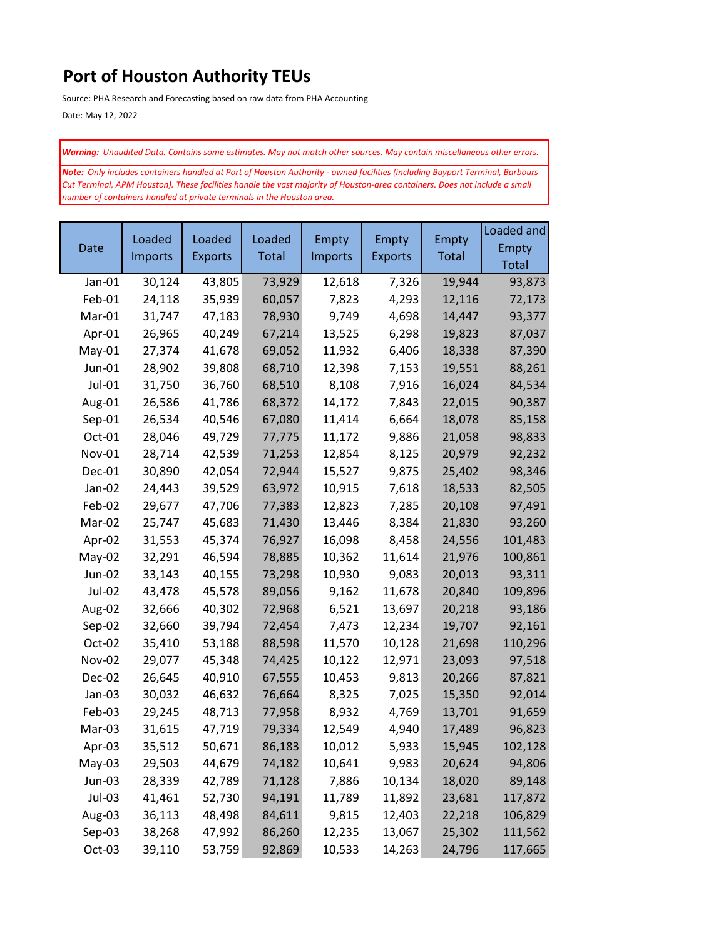## **Port of Houston Authority TEUs**

Source: PHA Research and Forecasting based on raw data from PHA Accounting

Date: May 12, 2022

*Warning: Unaudited Data. Contains some estimates. May not match other sources. May contain miscellaneous other errors.*

*Note: Only includes containers handled at Port of Houston Authority - owned facilities (including Bayport Terminal, Barbours Cut Terminal, APM Houston). These facilities handle the vast majority of Houston-area containers. Does not include a small number of containers handled at private terminals in the Houston area.* 

|               | Loaded  | Loaded<br><b>Exports</b> | Loaded<br>Total | <b>Empty</b> | <b>Empty</b><br><b>Exports</b> | <b>Empty</b><br>Total | Loaded and   |
|---------------|---------|--------------------------|-----------------|--------------|--------------------------------|-----------------------|--------------|
| Date          | Imports |                          |                 |              |                                |                       | <b>Empty</b> |
|               |         |                          |                 | Imports      |                                |                       | Total        |
| Jan-01        | 30,124  | 43,805                   | 73,929          | 12,618       | 7,326                          | 19,944                | 93,873       |
| Feb-01        | 24,118  | 35,939                   | 60,057          | 7,823        | 4,293                          | 12,116                | 72,173       |
| Mar-01        | 31,747  | 47,183                   | 78,930          | 9,749        | 4,698                          | 14,447                | 93,377       |
| Apr-01        | 26,965  | 40,249                   | 67,214          | 13,525       | 6,298                          | 19,823                | 87,037       |
| May-01        | 27,374  | 41,678                   | 69,052          | 11,932       | 6,406                          | 18,338                | 87,390       |
| Jun-01        | 28,902  | 39,808                   | 68,710          | 12,398       | 7,153                          | 19,551                | 88,261       |
| Jul-01        | 31,750  | 36,760                   | 68,510          | 8,108        | 7,916                          | 16,024                | 84,534       |
| Aug-01        | 26,586  | 41,786                   | 68,372          | 14,172       | 7,843                          | 22,015                | 90,387       |
| Sep-01        | 26,534  | 40,546                   | 67,080          | 11,414       | 6,664                          | 18,078                | 85,158       |
| Oct-01        | 28,046  | 49,729                   | 77,775          | 11,172       | 9,886                          | 21,058                | 98,833       |
| Nov-01        | 28,714  | 42,539                   | 71,253          | 12,854       | 8,125                          | 20,979                | 92,232       |
| Dec-01        | 30,890  | 42,054                   | 72,944          | 15,527       | 9,875                          | 25,402                | 98,346       |
| Jan-02        | 24,443  | 39,529                   | 63,972          | 10,915       | 7,618                          | 18,533                | 82,505       |
| Feb-02        | 29,677  | 47,706                   | 77,383          | 12,823       | 7,285                          | 20,108                | 97,491       |
| Mar-02        | 25,747  | 45,683                   | 71,430          | 13,446       | 8,384                          | 21,830                | 93,260       |
| Apr-02        | 31,553  | 45,374                   | 76,927          | 16,098       | 8,458                          | 24,556                | 101,483      |
| May-02        | 32,291  | 46,594                   | 78,885          | 10,362       | 11,614                         | 21,976                | 100,861      |
| Jun-02        | 33,143  | 40,155                   | 73,298          | 10,930       | 9,083                          | 20,013                | 93,311       |
| Jul-02        | 43,478  | 45,578                   | 89,056          | 9,162        | 11,678                         | 20,840                | 109,896      |
| Aug-02        | 32,666  | 40,302                   | 72,968          | 6,521        | 13,697                         | 20,218                | 93,186       |
| Sep-02        | 32,660  | 39,794                   | 72,454          | 7,473        | 12,234                         | 19,707                | 92,161       |
| Oct-02        | 35,410  | 53,188                   | 88,598          | 11,570       | 10,128                         | 21,698                | 110,296      |
| <b>Nov-02</b> | 29,077  | 45,348                   | 74,425          | 10,122       | 12,971                         | 23,093                | 97,518       |
| Dec-02        | 26,645  | 40,910                   | 67,555          | 10,453       | 9,813                          | 20,266                | 87,821       |
| Jan-03        | 30,032  | 46,632                   | 76,664          | 8,325        | 7,025                          | 15,350                | 92,014       |
| Feb-03        | 29,245  | 48,713                   | 77,958          | 8,932        | 4,769                          | 13,701                | 91,659       |
| Mar-03        | 31,615  | 47,719                   | 79,334          | 12,549       | 4,940                          | 17,489                | 96,823       |
| Apr-03        | 35,512  | 50,671                   | 86,183          | 10,012       | 5,933                          | 15,945                | 102,128      |
| May-03        | 29,503  | 44,679                   | 74,182          | 10,641       | 9,983                          | 20,624                | 94,806       |
| Jun-03        | 28,339  | 42,789                   | 71,128          | 7,886        | 10,134                         | 18,020                | 89,148       |
| Jul-03        | 41,461  | 52,730                   | 94,191          | 11,789       | 11,892                         | 23,681                | 117,872      |
| Aug-03        | 36,113  | 48,498                   | 84,611          | 9,815        | 12,403                         | 22,218                | 106,829      |
| Sep-03        | 38,268  | 47,992                   | 86,260          | 12,235       | 13,067                         | 25,302                | 111,562      |
| Oct-03        | 39,110  | 53,759                   | 92,869          | 10,533       | 14,263                         | 24,796                | 117,665      |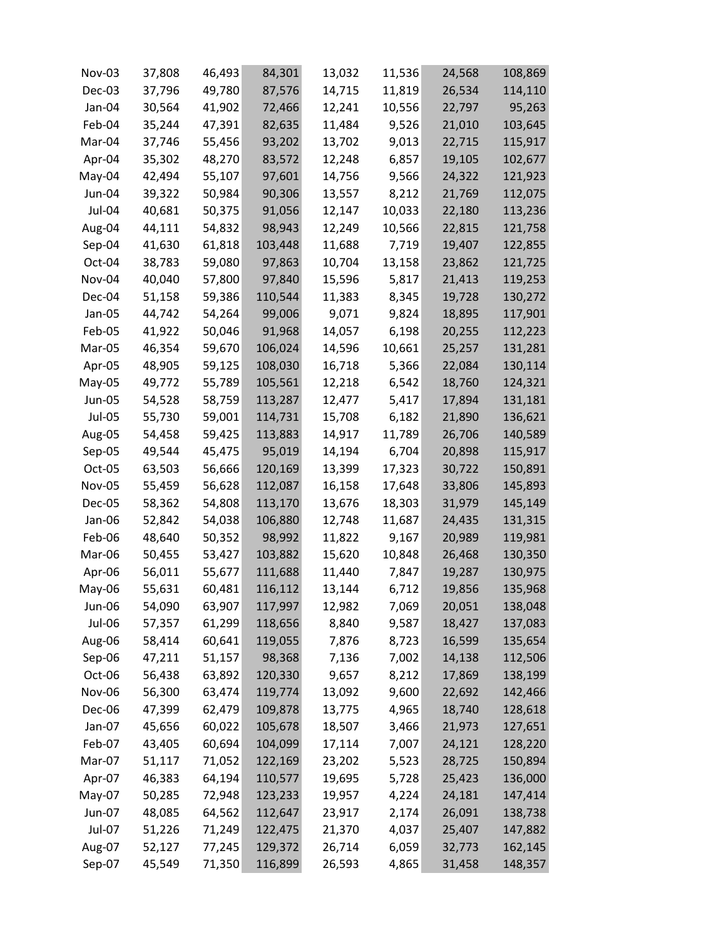| Nov-03        | 37,808 | 46,493 | 84,301  | 13,032 | 11,536 | 24,568 | 108,869 |
|---------------|--------|--------|---------|--------|--------|--------|---------|
| Dec-03        | 37,796 | 49,780 | 87,576  | 14,715 | 11,819 | 26,534 | 114,110 |
| Jan-04        | 30,564 | 41,902 | 72,466  | 12,241 | 10,556 | 22,797 | 95,263  |
| Feb-04        | 35,244 | 47,391 | 82,635  | 11,484 | 9,526  | 21,010 | 103,645 |
| Mar-04        | 37,746 | 55,456 | 93,202  | 13,702 | 9,013  | 22,715 | 115,917 |
| Apr-04        | 35,302 | 48,270 | 83,572  | 12,248 | 6,857  | 19,105 | 102,677 |
| May-04        | 42,494 | 55,107 | 97,601  | 14,756 | 9,566  | 24,322 | 121,923 |
| Jun-04        | 39,322 | 50,984 | 90,306  | 13,557 | 8,212  | 21,769 | 112,075 |
| Jul-04        | 40,681 | 50,375 | 91,056  | 12,147 | 10,033 | 22,180 | 113,236 |
| Aug-04        | 44,111 | 54,832 | 98,943  | 12,249 | 10,566 | 22,815 | 121,758 |
| Sep-04        | 41,630 | 61,818 | 103,448 | 11,688 | 7,719  | 19,407 | 122,855 |
| Oct-04        | 38,783 | 59,080 | 97,863  | 10,704 | 13,158 | 23,862 | 121,725 |
| Nov-04        | 40,040 | 57,800 | 97,840  | 15,596 | 5,817  | 21,413 | 119,253 |
| Dec-04        | 51,158 | 59,386 | 110,544 | 11,383 | 8,345  | 19,728 | 130,272 |
| Jan-05        | 44,742 | 54,264 | 99,006  | 9,071  | 9,824  | 18,895 | 117,901 |
| Feb-05        | 41,922 | 50,046 | 91,968  | 14,057 | 6,198  | 20,255 | 112,223 |
| Mar-05        | 46,354 | 59,670 | 106,024 | 14,596 | 10,661 | 25,257 | 131,281 |
| Apr-05        | 48,905 | 59,125 | 108,030 | 16,718 | 5,366  | 22,084 | 130,114 |
| May-05        | 49,772 | 55,789 | 105,561 | 12,218 | 6,542  | 18,760 | 124,321 |
| Jun-05        | 54,528 | 58,759 | 113,287 | 12,477 | 5,417  | 17,894 | 131,181 |
| Jul-05        | 55,730 | 59,001 | 114,731 | 15,708 | 6,182  | 21,890 | 136,621 |
| Aug-05        | 54,458 | 59,425 | 113,883 | 14,917 | 11,789 | 26,706 | 140,589 |
| Sep-05        | 49,544 | 45,475 | 95,019  | 14,194 | 6,704  | 20,898 | 115,917 |
| Oct-05        | 63,503 | 56,666 | 120,169 | 13,399 | 17,323 | 30,722 | 150,891 |
| Nov-05        | 55,459 | 56,628 | 112,087 | 16,158 | 17,648 | 33,806 | 145,893 |
| Dec-05        | 58,362 | 54,808 | 113,170 | 13,676 | 18,303 | 31,979 | 145,149 |
| Jan-06        | 52,842 | 54,038 | 106,880 | 12,748 | 11,687 | 24,435 | 131,315 |
| Feb-06        | 48,640 | 50,352 | 98,992  | 11,822 | 9,167  | 20,989 | 119,981 |
| Mar-06        | 50,455 | 53,427 | 103,882 | 15,620 | 10,848 | 26,468 | 130,350 |
| Apr-06        | 56,011 | 55,677 | 111,688 | 11,440 | 7,847  | 19,287 | 130,975 |
| May-06        | 55,631 | 60,481 | 116,112 | 13,144 | 6,712  | 19,856 | 135,968 |
| Jun-06        | 54,090 | 63,907 | 117,997 | 12,982 | 7,069  | 20,051 | 138,048 |
| <b>Jul-06</b> | 57,357 | 61,299 | 118,656 | 8,840  | 9,587  | 18,427 | 137,083 |
| Aug-06        | 58,414 | 60,641 | 119,055 | 7,876  | 8,723  | 16,599 | 135,654 |
| Sep-06        | 47,211 | 51,157 | 98,368  | 7,136  | 7,002  | 14,138 | 112,506 |
| Oct-06        | 56,438 | 63,892 | 120,330 | 9,657  | 8,212  | 17,869 | 138,199 |
| Nov-06        | 56,300 | 63,474 | 119,774 | 13,092 | 9,600  | 22,692 | 142,466 |
| Dec-06        | 47,399 | 62,479 | 109,878 | 13,775 | 4,965  | 18,740 | 128,618 |
| Jan-07        | 45,656 | 60,022 | 105,678 | 18,507 | 3,466  | 21,973 | 127,651 |
| Feb-07        | 43,405 | 60,694 | 104,099 | 17,114 | 7,007  | 24,121 | 128,220 |
| Mar-07        | 51,117 | 71,052 | 122,169 | 23,202 | 5,523  | 28,725 | 150,894 |
| Apr-07        | 46,383 | 64,194 | 110,577 | 19,695 | 5,728  | 25,423 | 136,000 |
| May-07        | 50,285 | 72,948 | 123,233 | 19,957 | 4,224  | 24,181 | 147,414 |
| Jun-07        | 48,085 | 64,562 | 112,647 | 23,917 | 2,174  | 26,091 | 138,738 |
| Jul-07        | 51,226 | 71,249 | 122,475 | 21,370 | 4,037  | 25,407 | 147,882 |
| Aug-07        | 52,127 | 77,245 | 129,372 | 26,714 | 6,059  | 32,773 | 162,145 |
| Sep-07        | 45,549 | 71,350 | 116,899 | 26,593 | 4,865  | 31,458 | 148,357 |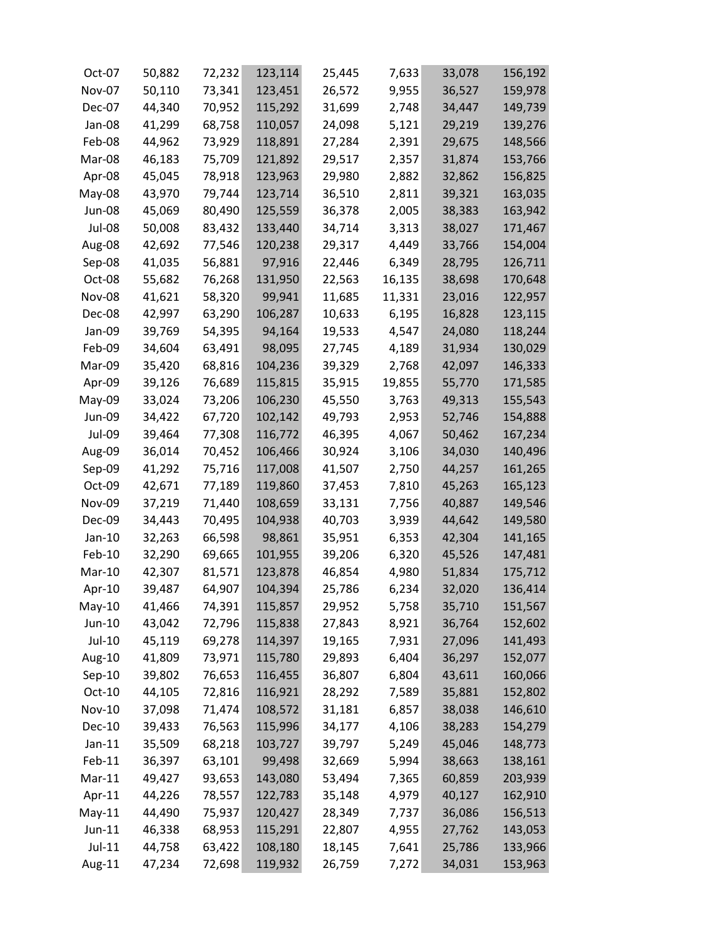| Oct-07        | 50,882 | 72,232 | 123,114 | 25,445 | 7,633  | 33,078 | 156,192 |
|---------------|--------|--------|---------|--------|--------|--------|---------|
| Nov-07        | 50,110 | 73,341 | 123,451 | 26,572 | 9,955  | 36,527 | 159,978 |
| Dec-07        | 44,340 | 70,952 | 115,292 | 31,699 | 2,748  | 34,447 | 149,739 |
| Jan-08        | 41,299 | 68,758 | 110,057 | 24,098 | 5,121  | 29,219 | 139,276 |
| Feb-08        | 44,962 | 73,929 | 118,891 | 27,284 | 2,391  | 29,675 | 148,566 |
| Mar-08        | 46,183 | 75,709 | 121,892 | 29,517 | 2,357  | 31,874 | 153,766 |
| Apr-08        | 45,045 | 78,918 | 123,963 | 29,980 | 2,882  | 32,862 | 156,825 |
| May-08        | 43,970 | 79,744 | 123,714 | 36,510 | 2,811  | 39,321 | 163,035 |
| Jun-08        | 45,069 | 80,490 | 125,559 | 36,378 | 2,005  | 38,383 | 163,942 |
| Jul-08        | 50,008 | 83,432 | 133,440 | 34,714 | 3,313  | 38,027 | 171,467 |
| Aug-08        | 42,692 | 77,546 | 120,238 | 29,317 | 4,449  | 33,766 | 154,004 |
| Sep-08        | 41,035 | 56,881 | 97,916  | 22,446 | 6,349  | 28,795 | 126,711 |
| Oct-08        | 55,682 | 76,268 | 131,950 | 22,563 | 16,135 | 38,698 | 170,648 |
| <b>Nov-08</b> | 41,621 | 58,320 | 99,941  | 11,685 | 11,331 | 23,016 | 122,957 |
| Dec-08        | 42,997 | 63,290 | 106,287 | 10,633 | 6,195  | 16,828 | 123,115 |
| Jan-09        | 39,769 | 54,395 | 94,164  | 19,533 | 4,547  | 24,080 | 118,244 |
| Feb-09        | 34,604 | 63,491 | 98,095  | 27,745 | 4,189  | 31,934 | 130,029 |
| Mar-09        | 35,420 | 68,816 | 104,236 | 39,329 | 2,768  | 42,097 | 146,333 |
| Apr-09        | 39,126 | 76,689 | 115,815 | 35,915 | 19,855 | 55,770 | 171,585 |
| May-09        | 33,024 | 73,206 | 106,230 | 45,550 | 3,763  | 49,313 | 155,543 |
| Jun-09        | 34,422 | 67,720 | 102,142 | 49,793 | 2,953  | 52,746 | 154,888 |
| <b>Jul-09</b> | 39,464 | 77,308 | 116,772 | 46,395 | 4,067  | 50,462 | 167,234 |
| Aug-09        | 36,014 | 70,452 | 106,466 | 30,924 | 3,106  | 34,030 | 140,496 |
| Sep-09        | 41,292 | 75,716 | 117,008 | 41,507 | 2,750  | 44,257 | 161,265 |
| Oct-09        | 42,671 | 77,189 | 119,860 | 37,453 | 7,810  | 45,263 | 165,123 |
| <b>Nov-09</b> | 37,219 | 71,440 | 108,659 | 33,131 | 7,756  | 40,887 | 149,546 |
| Dec-09        | 34,443 | 70,495 | 104,938 | 40,703 | 3,939  | 44,642 | 149,580 |
| Jan-10        | 32,263 | 66,598 | 98,861  | 35,951 | 6,353  | 42,304 | 141,165 |
| Feb-10        | 32,290 | 69,665 | 101,955 | 39,206 | 6,320  | 45,526 | 147,481 |
| Mar-10        | 42,307 | 81,571 | 123,878 | 46,854 | 4,980  | 51,834 | 175,712 |
| Apr-10        | 39,487 | 64,907 | 104,394 | 25,786 | 6,234  | 32,020 | 136,414 |
| $May-10$      | 41,466 | 74,391 | 115,857 | 29,952 | 5,758  | 35,710 | 151,567 |
| Jun-10        | 43,042 | 72,796 | 115,838 | 27,843 | 8,921  | 36,764 | 152,602 |
| Jul-10        | 45,119 | 69,278 | 114,397 | 19,165 | 7,931  | 27,096 | 141,493 |
| Aug-10        | 41,809 | 73,971 | 115,780 | 29,893 | 6,404  | 36,297 | 152,077 |
| Sep-10        | 39,802 | 76,653 | 116,455 | 36,807 | 6,804  | 43,611 | 160,066 |
| Oct-10        | 44,105 | 72,816 | 116,921 | 28,292 | 7,589  | 35,881 | 152,802 |
| <b>Nov-10</b> | 37,098 | 71,474 | 108,572 | 31,181 | 6,857  | 38,038 | 146,610 |
| <b>Dec-10</b> | 39,433 | 76,563 | 115,996 | 34,177 | 4,106  | 38,283 | 154,279 |
| $Jan-11$      | 35,509 | 68,218 | 103,727 | 39,797 | 5,249  | 45,046 | 148,773 |
| Feb-11        | 36,397 | 63,101 | 99,498  | 32,669 | 5,994  | 38,663 | 138,161 |
| $Mar-11$      | 49,427 | 93,653 | 143,080 | 53,494 | 7,365  | 60,859 | 203,939 |
| Apr-11        | 44,226 | 78,557 | 122,783 | 35,148 | 4,979  | 40,127 | 162,910 |
| $May-11$      | 44,490 | 75,937 | 120,427 | 28,349 | 7,737  | 36,086 | 156,513 |
| $Jun-11$      | 46,338 | 68,953 | 115,291 | 22,807 | 4,955  | 27,762 | 143,053 |
| $Jul-11$      | 44,758 | 63,422 | 108,180 | 18,145 | 7,641  | 25,786 | 133,966 |
| Aug-11        | 47,234 | 72,698 | 119,932 | 26,759 | 7,272  | 34,031 | 153,963 |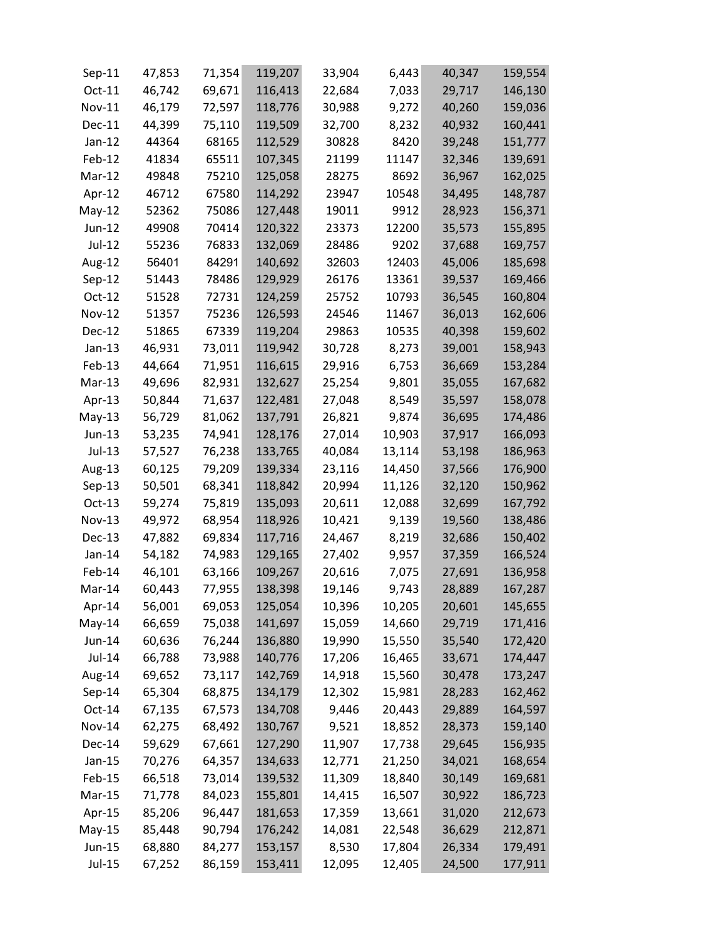| Sep-11        | 47,853 | 71,354 | 119,207 | 33,904 | 6,443  | 40,347 | 159,554 |
|---------------|--------|--------|---------|--------|--------|--------|---------|
| Oct-11        | 46,742 | 69,671 | 116,413 | 22,684 | 7,033  | 29,717 | 146,130 |
| Nov-11        | 46,179 | 72,597 | 118,776 | 30,988 | 9,272  | 40,260 | 159,036 |
| Dec-11        | 44,399 | 75,110 | 119,509 | 32,700 | 8,232  | 40,932 | 160,441 |
| $Jan-12$      | 44364  | 68165  | 112,529 | 30828  | 8420   | 39,248 | 151,777 |
| Feb-12        | 41834  | 65511  | 107,345 | 21199  | 11147  | 32,346 | 139,691 |
| Mar-12        | 49848  | 75210  | 125,058 | 28275  | 8692   | 36,967 | 162,025 |
| Apr-12        | 46712  | 67580  | 114,292 | 23947  | 10548  | 34,495 | 148,787 |
| $May-12$      | 52362  | 75086  | 127,448 | 19011  | 9912   | 28,923 | 156,371 |
| Jun-12        | 49908  | 70414  | 120,322 | 23373  | 12200  | 35,573 | 155,895 |
| Jul-12        | 55236  | 76833  | 132,069 | 28486  | 9202   | 37,688 | 169,757 |
| Aug-12        | 56401  | 84291  | 140,692 | 32603  | 12403  | 45,006 | 185,698 |
| $Sep-12$      | 51443  | 78486  | 129,929 | 26176  | 13361  | 39,537 | 169,466 |
| Oct-12        | 51528  | 72731  | 124,259 | 25752  | 10793  | 36,545 | 160,804 |
| Nov-12        | 51357  | 75236  | 126,593 | 24546  | 11467  | 36,013 | 162,606 |
| Dec-12        | 51865  | 67339  | 119,204 | 29863  | 10535  | 40,398 | 159,602 |
| $Jan-13$      | 46,931 | 73,011 | 119,942 | 30,728 | 8,273  | 39,001 | 158,943 |
| Feb-13        | 44,664 | 71,951 | 116,615 | 29,916 | 6,753  | 36,669 | 153,284 |
| Mar-13        | 49,696 | 82,931 | 132,627 | 25,254 | 9,801  | 35,055 | 167,682 |
| Apr-13        | 50,844 | 71,637 | 122,481 | 27,048 | 8,549  | 35,597 | 158,078 |
| $May-13$      | 56,729 | 81,062 | 137,791 | 26,821 | 9,874  | 36,695 | 174,486 |
| Jun-13        | 53,235 | 74,941 | 128,176 | 27,014 | 10,903 | 37,917 | 166,093 |
| Jul-13        | 57,527 | 76,238 | 133,765 | 40,084 | 13,114 | 53,198 | 186,963 |
| Aug-13        | 60,125 | 79,209 | 139,334 | 23,116 | 14,450 | 37,566 | 176,900 |
| $Sep-13$      | 50,501 | 68,341 | 118,842 | 20,994 | 11,126 | 32,120 | 150,962 |
| Oct-13        | 59,274 | 75,819 | 135,093 | 20,611 | 12,088 | 32,699 | 167,792 |
| Nov-13        | 49,972 | 68,954 | 118,926 | 10,421 | 9,139  | 19,560 | 138,486 |
| Dec-13        | 47,882 | 69,834 | 117,716 | 24,467 | 8,219  | 32,686 | 150,402 |
| Jan-14        | 54,182 | 74,983 | 129,165 | 27,402 | 9,957  | 37,359 | 166,524 |
| Feb-14        | 46,101 | 63,166 | 109,267 | 20,616 | 7,075  | 27,691 | 136,958 |
| Mar-14        | 60,443 | 77,955 | 138,398 | 19,146 | 9,743  | 28,889 | 167,287 |
| Apr-14        | 56,001 | 69,053 | 125,054 | 10,396 | 10,205 | 20,601 | 145,655 |
| $May-14$      | 66,659 | 75,038 | 141,697 | 15,059 | 14,660 | 29,719 | 171,416 |
| Jun-14        | 60,636 | 76,244 | 136,880 | 19,990 | 15,550 | 35,540 | 172,420 |
| Jul-14        | 66,788 | 73,988 | 140,776 | 17,206 | 16,465 | 33,671 | 174,447 |
| Aug-14        | 69,652 | 73,117 | 142,769 | 14,918 | 15,560 | 30,478 | 173,247 |
| $Sep-14$      | 65,304 | 68,875 | 134,179 | 12,302 | 15,981 | 28,283 | 162,462 |
| $Oct-14$      | 67,135 | 67,573 | 134,708 | 9,446  | 20,443 | 29,889 | 164,597 |
| <b>Nov-14</b> | 62,275 | 68,492 | 130,767 | 9,521  | 18,852 | 28,373 | 159,140 |
| Dec-14        | 59,629 | 67,661 | 127,290 | 11,907 | 17,738 | 29,645 | 156,935 |
| Jan-15        | 70,276 | 64,357 | 134,633 | 12,771 | 21,250 | 34,021 | 168,654 |
| Feb-15        | 66,518 | 73,014 | 139,532 | 11,309 | 18,840 | 30,149 | 169,681 |
| Mar-15        | 71,778 | 84,023 | 155,801 | 14,415 | 16,507 | 30,922 | 186,723 |
| Apr-15        | 85,206 | 96,447 | 181,653 | 17,359 | 13,661 | 31,020 | 212,673 |
| $May-15$      | 85,448 | 90,794 | 176,242 | 14,081 | 22,548 | 36,629 | 212,871 |
| Jun-15        | 68,880 | 84,277 | 153,157 | 8,530  | 17,804 | 26,334 | 179,491 |
| Jul-15        | 67,252 | 86,159 | 153,411 | 12,095 | 12,405 | 24,500 | 177,911 |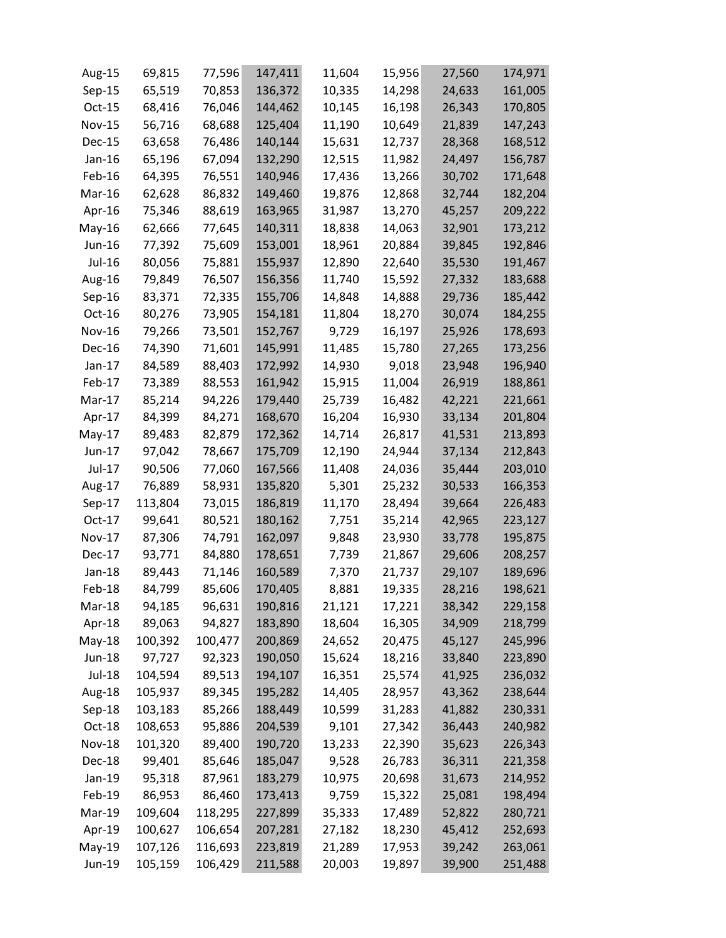| Aug-15        | 69,815  | 77,596  | 147,411 | 11,604 | 15,956 | 27,560 | 174,971 |
|---------------|---------|---------|---------|--------|--------|--------|---------|
| Sep-15        | 65,519  | 70,853  | 136,372 | 10,335 | 14,298 | 24,633 | 161,005 |
| Oct-15        | 68,416  | 76,046  | 144,462 | 10,145 | 16,198 | 26,343 | 170,805 |
| Nov-15        | 56,716  | 68,688  | 125,404 | 11,190 | 10,649 | 21,839 | 147,243 |
| Dec-15        | 63,658  | 76,486  | 140,144 | 15,631 | 12,737 | 28,368 | 168,512 |
| $Jan-16$      | 65,196  | 67,094  | 132,290 | 12,515 | 11,982 | 24,497 | 156,787 |
| Feb-16        | 64,395  | 76,551  | 140,946 | 17,436 | 13,266 | 30,702 | 171,648 |
| Mar-16        | 62,628  | 86,832  | 149,460 | 19,876 | 12,868 | 32,744 | 182,204 |
| Apr-16        | 75,346  | 88,619  | 163,965 | 31,987 | 13,270 | 45,257 | 209,222 |
| May-16        | 62,666  | 77,645  | 140,311 | 18,838 | 14,063 | 32,901 | 173,212 |
| Jun-16        | 77,392  | 75,609  | 153,001 | 18,961 | 20,884 | 39,845 | 192,846 |
| Jul-16        | 80,056  | 75,881  | 155,937 | 12,890 | 22,640 | 35,530 | 191,467 |
| Aug-16        | 79,849  | 76,507  | 156,356 | 11,740 | 15,592 | 27,332 | 183,688 |
| Sep-16        | 83,371  | 72,335  | 155,706 | 14,848 | 14,888 | 29,736 | 185,442 |
| Oct-16        | 80,276  | 73,905  | 154,181 | 11,804 | 18,270 | 30,074 | 184,255 |
| Nov-16        | 79,266  | 73,501  | 152,767 | 9,729  | 16,197 | 25,926 | 178,693 |
| Dec-16        | 74,390  | 71,601  | 145,991 | 11,485 | 15,780 | 27,265 | 173,256 |
| $Jan-17$      | 84,589  | 88,403  | 172,992 | 14,930 | 9,018  | 23,948 | 196,940 |
| Feb-17        | 73,389  | 88,553  | 161,942 | 15,915 | 11,004 | 26,919 | 188,861 |
| Mar-17        | 85,214  | 94,226  | 179,440 | 25,739 | 16,482 | 42,221 | 221,661 |
| Apr-17        | 84,399  | 84,271  | 168,670 | 16,204 | 16,930 | 33,134 | 201,804 |
| May-17        | 89,483  | 82,879  | 172,362 | 14,714 | 26,817 | 41,531 | 213,893 |
| Jun-17        | 97,042  | 78,667  | 175,709 | 12,190 | 24,944 | 37,134 | 212,843 |
| Jul-17        | 90,506  | 77,060  | 167,566 | 11,408 | 24,036 | 35,444 | 203,010 |
| Aug-17        | 76,889  | 58,931  | 135,820 | 5,301  | 25,232 | 30,533 | 166,353 |
| Sep-17        | 113,804 | 73,015  | 186,819 | 11,170 | 28,494 | 39,664 | 226,483 |
| Oct-17        | 99,641  | 80,521  | 180,162 | 7,751  | 35,214 | 42,965 | 223,127 |
| Nov-17        | 87,306  | 74,791  | 162,097 | 9,848  | 23,930 | 33,778 | 195,875 |
| Dec-17        | 93,771  | 84,880  | 178,651 | 7,739  | 21,867 | 29,606 | 208,257 |
| Jan-18        | 89,443  | 71,146  | 160,589 | 7,370  | 21,737 | 29,107 | 189,696 |
| Feb-18        | 84,799  | 85,606  | 170,405 | 8,881  | 19,335 | 28,216 | 198,621 |
| Mar-18        | 94,185  | 96,631  | 190,816 | 21,121 | 17,221 | 38,342 | 229,158 |
| Apr-18        | 89,063  | 94,827  | 183,890 | 18,604 | 16,305 | 34,909 | 218,799 |
| $May-18$      | 100,392 | 100,477 | 200,869 | 24,652 | 20,475 | 45,127 | 245,996 |
| Jun-18        | 97,727  | 92,323  | 190,050 | 15,624 | 18,216 | 33,840 | 223,890 |
| <b>Jul-18</b> | 104,594 | 89,513  | 194,107 | 16,351 | 25,574 | 41,925 | 236,032 |
| Aug-18        | 105,937 | 89,345  | 195,282 | 14,405 | 28,957 | 43,362 | 238,644 |
| $Sep-18$      | 103,183 | 85,266  | 188,449 | 10,599 | 31,283 | 41,882 | 230,331 |
| Oct-18        | 108,653 | 95,886  | 204,539 | 9,101  | 27,342 | 36,443 | 240,982 |
| <b>Nov-18</b> | 101,320 | 89,400  | 190,720 | 13,233 | 22,390 | 35,623 | 226,343 |
| Dec-18        | 99,401  | 85,646  | 185,047 | 9,528  | 26,783 | 36,311 | 221,358 |
| Jan-19        | 95,318  | 87,961  | 183,279 | 10,975 | 20,698 | 31,673 | 214,952 |
| Feb-19        | 86,953  | 86,460  | 173,413 | 9,759  | 15,322 | 25,081 | 198,494 |
| Mar-19        | 109,604 | 118,295 | 227,899 | 35,333 | 17,489 | 52,822 | 280,721 |
| Apr-19        | 100,627 | 106,654 | 207,281 | 27,182 | 18,230 | 45,412 | 252,693 |
| $May-19$      | 107,126 | 116,693 | 223,819 | 21,289 | 17,953 | 39,242 | 263,061 |
| Jun-19        | 105,159 | 106,429 | 211,588 | 20,003 | 19,897 | 39,900 | 251,488 |